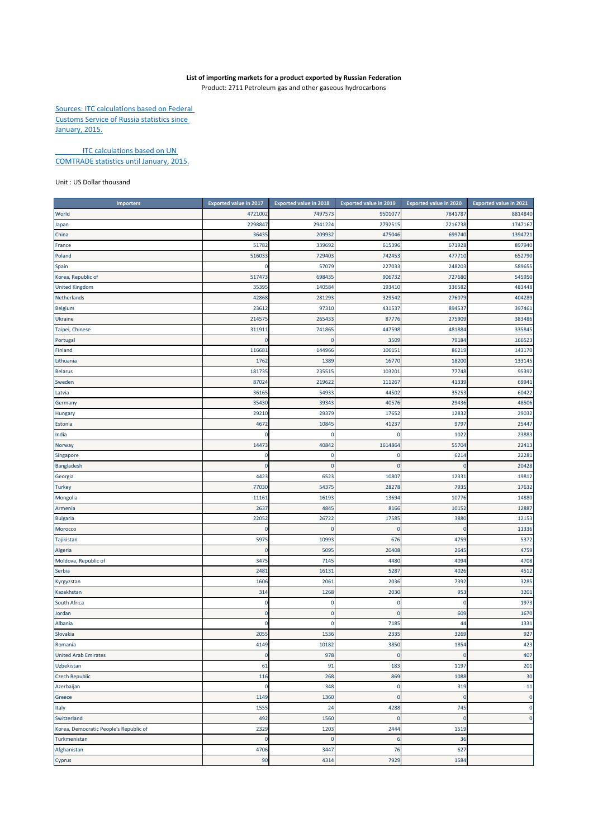## **List of importing markets for a product exported by Russian Federation**

Product: 2711 Petroleum gas and other gaseous hydrocarbons

Sources: ITC calculations based on Federal Customs Service of Russia statistics since January, 2015.

**ITC calculations based on UN** COMTRADE statistics until January, 2015.

## Unit : US Dollar thousand

| <b>Importers</b>                       | <b>Exported value in 2017</b> | <b>Exported value in 2018</b> | <b>Exported value in 2019</b> | <b>Exported value in 2020</b> | <b>Exported value in 2021</b> |
|----------------------------------------|-------------------------------|-------------------------------|-------------------------------|-------------------------------|-------------------------------|
| World                                  | 4721002                       | 7497573                       | 9501077                       | 7841787                       | 8814840                       |
| Japan                                  | 229884                        | 2941224                       | 2792515                       | 2216738                       | 1747167                       |
| China                                  | 3643                          | 209932                        | 475046                        | 699740                        | 1394721                       |
| France                                 | 51782                         | 339692                        | 615396                        | 671928                        | 897940                        |
| Poland                                 | 51603                         | 729403                        | 742453                        | 477710                        | 652790                        |
| Spain                                  | 0                             | 57079                         | 227033                        | 24820                         | 589655                        |
| Korea, Republic of                     | 517473                        | 698435                        | 906732                        | 727680                        | 545950                        |
| <b>United Kingdom</b>                  | 35395                         | 140584                        | 193410                        | 336582                        | 483448                        |
| Netherlands                            | 42868                         | 281293                        | 329542                        | 276079                        | 404289                        |
| Belgium                                | 23612                         | 97310                         | 431537                        | 89453                         | 397461                        |
| Ukraine                                | 21457                         | 265433                        | 87776                         | 275909                        | 383486                        |
| Taipei, Chinese                        | 31191:                        | 741865                        | 447598                        | 481884                        | 335845                        |
| Portugal                               | 0                             | $\mathbf 0$                   | 3509                          | 79184                         | 166523                        |
| Finland                                | 11668                         | 144966                        | 106151                        | 8621                          | 143170                        |
| Lithuania                              | 1762                          | 1389                          | 16770                         | 18200                         | 133145                        |
| <b>Belarus</b>                         | 18173                         | 23551                         | 103201                        | 77748                         | 95392                         |
| Sweden                                 | 8702                          | 21962                         | 111267                        | 41339                         | 69941                         |
| Latvia                                 | 3616                          | 5493                          | 44502                         | 3525                          | 60422                         |
| Germany                                | 35430                         | 39343                         | 40576                         | 2943                          | 48506                         |
| <b>Hungary</b>                         | 29210                         | 29379                         | 17652                         | 12832                         | 29032                         |
| Estonia                                | 4672                          | 10845                         | 41237                         | 979                           | 25447                         |
| India                                  | 0                             | 0                             | 0                             | 1022                          | 23883                         |
| Norway                                 | 14473                         | 40842                         | 1614864                       | 5570                          | 22413                         |
| Singapore                              | 0                             | 0                             | 0                             | 6214                          | 22281                         |
| Bangladesh                             | $\Omega$                      | $\mathbf 0$                   | $\mathbf 0$                   |                               | 20428                         |
| Georgia                                | 4423                          | 6523                          | 10807                         | 1233                          | 19812                         |
| <b>Turkey</b>                          | 77030                         | 54375                         | 28278                         | 7935                          | 17632                         |
| Mongolia                               | 11161                         | 16193                         | 13694                         | 10776                         | 14880                         |
| Armenia                                | 263                           | 4845                          | 8166                          | 10152                         | 12887                         |
| <b>Bulgaria</b>                        | 2205                          | 26722                         | 17585                         | 3880                          | 12153                         |
| Morocco                                | $\Omega$                      | $\Omega$                      | $\mathbf 0$                   |                               | 11336                         |
| Tajikistan                             | 5975                          | 10993                         | 676                           | 4759                          | 5372                          |
| Algeria                                | 0                             | 5095                          | 20408                         | 2645                          | 4759                          |
| Moldova, Republic of                   | 3475                          | 7145                          | 4480                          | 4094                          | 4708                          |
| Serbia                                 | 2481                          | 16131                         | 5287                          | 4026                          | 4512                          |
| Kyrgyzstan                             | 1606                          | 2061                          | 2036                          | 7392                          | 3285                          |
| Kazakhstan                             | 314                           | 1268                          | 2030                          | 953                           | 3201                          |
| South Africa                           | C                             | 0                             | 0                             |                               | 1973                          |
| Jordan                                 | 0                             | $\mathbf 0$                   | $\mathbf 0$                   | 609                           | 1670                          |
| Albania                                | 0                             | 0                             | 7185                          | 44                            | 1331                          |
| Slovakia                               | 2055                          | 1536                          | 2335                          | 3269                          | 927                           |
| Romania                                | 4149                          | 10182                         | 3850                          | 1854                          | 423                           |
| <b>United Arab Emirates</b>            | $\bf{0}$                      | 978                           | $\mathbf 0$                   | $\Omega$                      | 407                           |
| Uzbekistan                             | 61                            | 91                            | 183                           | 1197                          | 201                           |
| <b>Czech Republic</b>                  | 116                           | 268                           | 869                           | 1088                          | 30                            |
| Azerbaijan                             | $\mathbf 0$                   | 348                           | 0                             | 319                           | 11                            |
| Greece                                 | 1149                          | 1360                          | $\mathbf 0$                   |                               | $\mathbf{0}$                  |
| Italy                                  | 1555                          | 24                            | 4288                          | 745                           | $\pmb{0}$                     |
| Switzerland                            | 492                           | 1560                          | $\mathbf 0$                   | $\overline{0}$                | $\mathbf 0$                   |
| Korea, Democratic People's Republic of | 2329                          | 1203                          | 2444                          | 1519                          |                               |
| Turkmenistan                           | 0                             | $\mathbf 0$                   | 6                             | 36                            |                               |
| Afghanistan                            | 4706                          | 3447                          | 76                            | 627                           |                               |
| Cyprus                                 | 90                            | 4314                          | 7929                          | 1584                          |                               |